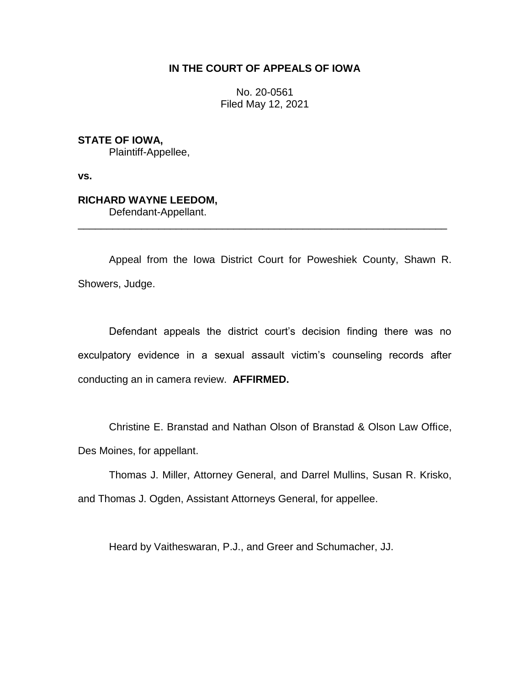# **IN THE COURT OF APPEALS OF IOWA**

No. 20-0561 Filed May 12, 2021

**STATE OF IOWA,**

Plaintiff-Appellee,

**vs.**

# **RICHARD WAYNE LEEDOM,**

Defendant-Appellant.

Appeal from the Iowa District Court for Poweshiek County, Shawn R. Showers, Judge.

\_\_\_\_\_\_\_\_\_\_\_\_\_\_\_\_\_\_\_\_\_\_\_\_\_\_\_\_\_\_\_\_\_\_\_\_\_\_\_\_\_\_\_\_\_\_\_\_\_\_\_\_\_\_\_\_\_\_\_\_\_\_\_\_

Defendant appeals the district court's decision finding there was no exculpatory evidence in a sexual assault victim's counseling records after conducting an in camera review. **AFFIRMED.**

Christine E. Branstad and Nathan Olson of Branstad & Olson Law Office, Des Moines, for appellant.

Thomas J. Miller, Attorney General, and Darrel Mullins, Susan R. Krisko, and Thomas J. Ogden, Assistant Attorneys General, for appellee.

Heard by Vaitheswaran, P.J., and Greer and Schumacher, JJ.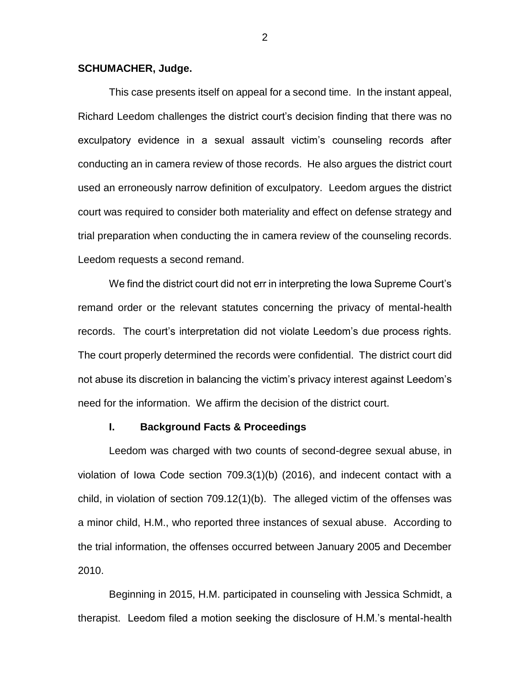## **SCHUMACHER, Judge.**

This case presents itself on appeal for a second time. In the instant appeal, Richard Leedom challenges the district court's decision finding that there was no exculpatory evidence in a sexual assault victim's counseling records after conducting an in camera review of those records. He also argues the district court used an erroneously narrow definition of exculpatory. Leedom argues the district court was required to consider both materiality and effect on defense strategy and trial preparation when conducting the in camera review of the counseling records. Leedom requests a second remand.

We find the district court did not err in interpreting the Iowa Supreme Court's remand order or the relevant statutes concerning the privacy of mental-health records. The court's interpretation did not violate Leedom's due process rights. The court properly determined the records were confidential. The district court did not abuse its discretion in balancing the victim's privacy interest against Leedom's need for the information. We affirm the decision of the district court.

# **I. Background Facts & Proceedings**

Leedom was charged with two counts of second-degree sexual abuse, in violation of Iowa Code section 709.3(1)(b) (2016), and indecent contact with a child, in violation of section 709.12(1)(b). The alleged victim of the offenses was a minor child, H.M., who reported three instances of sexual abuse. According to the trial information, the offenses occurred between January 2005 and December 2010.

Beginning in 2015, H.M. participated in counseling with Jessica Schmidt, a therapist. Leedom filed a motion seeking the disclosure of H.M.'s mental-health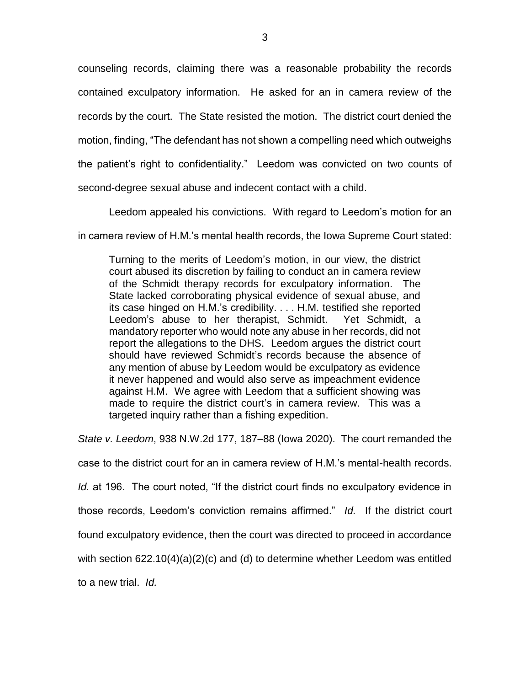counseling records, claiming there was a reasonable probability the records contained exculpatory information. He asked for an in camera review of the records by the court. The State resisted the motion. The district court denied the motion, finding, "The defendant has not shown a compelling need which outweighs the patient's right to confidentiality." Leedom was convicted on two counts of second-degree sexual abuse and indecent contact with a child.

Leedom appealed his convictions. With regard to Leedom's motion for an

in camera review of H.M.'s mental health records, the Iowa Supreme Court stated:

Turning to the merits of Leedom's motion, in our view, the district court abused its discretion by failing to conduct an in camera review of the Schmidt therapy records for exculpatory information. The State lacked corroborating physical evidence of sexual abuse, and its case hinged on H.M.'s credibility. . . . H.M. testified she reported Leedom's abuse to her therapist, Schmidt. Yet Schmidt, a mandatory reporter who would note any abuse in her records, did not report the allegations to the DHS. Leedom argues the district court should have reviewed Schmidt's records because the absence of any mention of abuse by Leedom would be exculpatory as evidence it never happened and would also serve as impeachment evidence against H.M. We agree with Leedom that a sufficient showing was made to require the district court's in camera review. This was a targeted inquiry rather than a fishing expedition.

*State v. Leedom*, 938 N.W.2d 177, 187–88 (Iowa 2020). The court remanded the

case to the district court for an in camera review of H.M.'s mental-health records.

*Id.* at 196. The court noted, "If the district court finds no exculpatory evidence in

those records, Leedom's conviction remains affirmed." *Id.* If the district court

found exculpatory evidence, then the court was directed to proceed in accordance

with section 622.10(4)(a)(2)(c) and (d) to determine whether Leedom was entitled

to a new trial. *Id.*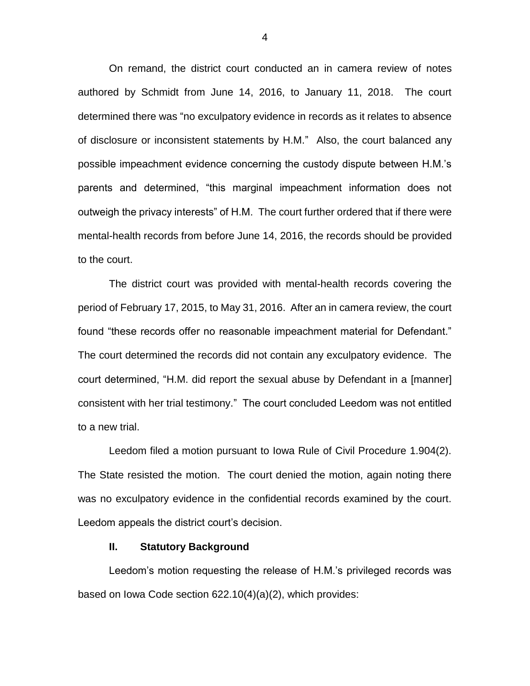On remand, the district court conducted an in camera review of notes authored by Schmidt from June 14, 2016, to January 11, 2018. The court determined there was "no exculpatory evidence in records as it relates to absence of disclosure or inconsistent statements by H.M." Also, the court balanced any possible impeachment evidence concerning the custody dispute between H.M.'s parents and determined, "this marginal impeachment information does not outweigh the privacy interests" of H.M. The court further ordered that if there were mental-health records from before June 14, 2016, the records should be provided to the court.

The district court was provided with mental-health records covering the period of February 17, 2015, to May 31, 2016. After an in camera review, the court found "these records offer no reasonable impeachment material for Defendant." The court determined the records did not contain any exculpatory evidence. The court determined, "H.M. did report the sexual abuse by Defendant in a [manner] consistent with her trial testimony." The court concluded Leedom was not entitled to a new trial.

Leedom filed a motion pursuant to Iowa Rule of Civil Procedure 1.904(2). The State resisted the motion. The court denied the motion, again noting there was no exculpatory evidence in the confidential records examined by the court. Leedom appeals the district court's decision.

## **II. Statutory Background**

Leedom's motion requesting the release of H.M.'s privileged records was based on Iowa Code section 622.10(4)(a)(2), which provides: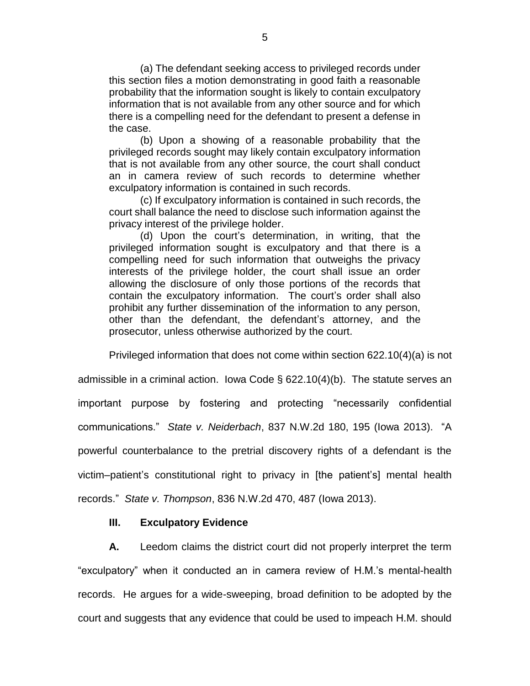(a) The defendant seeking access to privileged records under this section files a motion demonstrating in good faith a reasonable probability that the information sought is likely to contain exculpatory information that is not available from any other source and for which there is a compelling need for the defendant to present a defense in the case.

(b) Upon a showing of a reasonable probability that the privileged records sought may likely contain exculpatory information that is not available from any other source, the court shall conduct an in camera review of such records to determine whether exculpatory information is contained in such records.

(c) If exculpatory information is contained in such records, the court shall balance the need to disclose such information against the privacy interest of the privilege holder.

(d) Upon the court's determination, in writing, that the privileged information sought is exculpatory and that there is a compelling need for such information that outweighs the privacy interests of the privilege holder, the court shall issue an order allowing the disclosure of only those portions of the records that contain the exculpatory information. The court's order shall also prohibit any further dissemination of the information to any person, other than the defendant, the defendant's attorney, and the prosecutor, unless otherwise authorized by the court.

Privileged information that does not come within section 622.10(4)(a) is not

admissible in a criminal action. Iowa Code § 622.10(4)(b). The statute serves an important purpose by fostering and protecting "necessarily confidential communications." *State v. Neiderbach*, 837 N.W.2d 180, 195 (Iowa 2013). "A powerful counterbalance to the pretrial discovery rights of a defendant is the victim–patient's constitutional right to privacy in [the patient's] mental health records." *State v. Thompson*, 836 N.W.2d 470, 487 (Iowa 2013).

# **III. Exculpatory Evidence**

**A.** Leedom claims the district court did not properly interpret the term "exculpatory" when it conducted an in camera review of H.M.'s mental-health records. He argues for a wide-sweeping, broad definition to be adopted by the court and suggests that any evidence that could be used to impeach H.M. should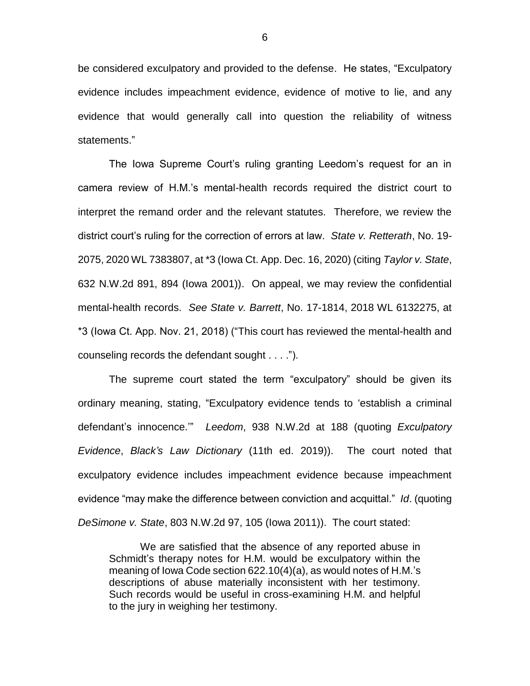be considered exculpatory and provided to the defense. He states, "Exculpatory evidence includes impeachment evidence, evidence of motive to lie, and any evidence that would generally call into question the reliability of witness statements."

The Iowa Supreme Court's ruling granting Leedom's request for an in camera review of H.M.'s mental-health records required the district court to interpret the remand order and the relevant statutes. Therefore, we review the district court's ruling for the correction of errors at law. *State v. Retterath*, No. 19- 2075, 2020 WL 7383807, at \*3 (Iowa Ct. App. Dec. 16, 2020) (citing *Taylor v. State*, 632 N.W.2d 891, 894 (Iowa 2001)). On appeal, we may review the confidential mental-health records. *See State v. Barrett*, No. 17-1814, 2018 WL 6132275, at \*3 (Iowa Ct. App. Nov. 21, 2018) ("This court has reviewed the mental-health and counseling records the defendant sought . . . .").

The supreme court stated the term "exculpatory" should be given its ordinary meaning, stating, "Exculpatory evidence tends to 'establish a criminal defendant's innocence.'" *Leedom*, 938 N.W.2d at 188 (quoting *Exculpatory Evidence*, *Black's Law Dictionary* (11th ed. 2019)). The court noted that exculpatory evidence includes impeachment evidence because impeachment evidence "may make the difference between conviction and acquittal." *Id*. (quoting *DeSimone v. State*, 803 N.W.2d 97, 105 (Iowa 2011)). The court stated:

We are satisfied that the absence of any reported abuse in Schmidt's therapy notes for H.M. would be exculpatory within the meaning of Iowa Code section 622.10(4)(a), as would notes of H.M.'s descriptions of abuse materially inconsistent with her testimony. Such records would be useful in cross-examining H.M. and helpful to the jury in weighing her testimony.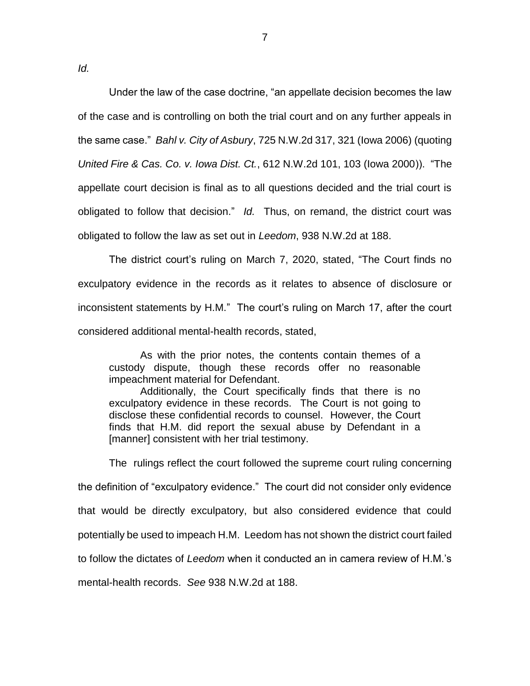*Id.*

Under the law of the case doctrine, "an appellate decision becomes the law of the case and is controlling on both the trial court and on any further appeals in the same case." *Bahl v. City of Asbury*, 725 N.W.2d 317, 321 (Iowa 2006) (quoting *United Fire & Cas. Co. v. Iowa Dist. Ct.*, 612 N.W.2d 101, 103 (Iowa 2000)). "The appellate court decision is final as to all questions decided and the trial court is obligated to follow that decision." *Id.* Thus, on remand, the district court was obligated to follow the law as set out in *Leedom*, 938 N.W.2d at 188.

The district court's ruling on March 7, 2020, stated, "The Court finds no exculpatory evidence in the records as it relates to absence of disclosure or inconsistent statements by H.M." The court's ruling on March 17, after the court considered additional mental-health records, stated,

As with the prior notes, the contents contain themes of a custody dispute, though these records offer no reasonable impeachment material for Defendant.

Additionally, the Court specifically finds that there is no exculpatory evidence in these records. The Court is not going to disclose these confidential records to counsel. However, the Court finds that H.M. did report the sexual abuse by Defendant in a [manner] consistent with her trial testimony.

The rulings reflect the court followed the supreme court ruling concerning the definition of "exculpatory evidence." The court did not consider only evidence that would be directly exculpatory, but also considered evidence that could potentially be used to impeach H.M. Leedom has not shown the district court failed to follow the dictates of *Leedom* when it conducted an in camera review of H.M.'s mental-health records. *See* 938 N.W.2d at 188.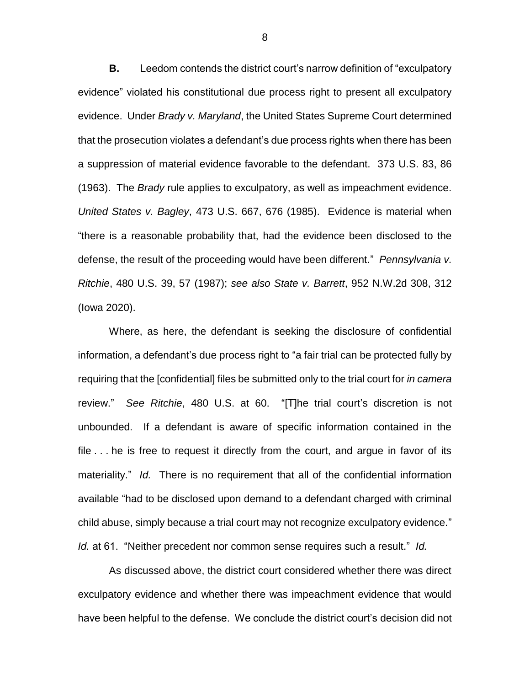**B.** Leedom contends the district court's narrow definition of "exculpatory evidence" violated his constitutional due process right to present all exculpatory evidence. Under *Brady v. Maryland*, the United States Supreme Court determined that the prosecution violates a defendant's due process rights when there has been a suppression of material evidence favorable to the defendant. 373 U.S. 83, 86 (1963). The *Brady* rule applies to exculpatory, as well as impeachment evidence. *United States v. Bagley*, 473 U.S. 667, 676 (1985). Evidence is material when "there is a reasonable probability that, had the evidence been disclosed to the defense, the result of the proceeding would have been different." *Pennsylvania v. Ritchie*, 480 U.S. 39, 57 (1987); *see also State v. Barrett*, 952 N.W.2d 308, 312 (Iowa 2020).

Where, as here, the defendant is seeking the disclosure of confidential information, a defendant's due process right to "a fair trial can be protected fully by requiring that the [confidential] files be submitted only to the trial court for *in camera* review." *See Ritchie*, 480 U.S. at 60. "[T]he trial court's discretion is not unbounded. If a defendant is aware of specific information contained in the file . . . he is free to request it directly from the court, and argue in favor of its materiality." *Id.* There is no requirement that all of the confidential information available "had to be disclosed upon demand to a defendant charged with criminal child abuse, simply because a trial court may not recognize exculpatory evidence." *Id.* at 61. "Neither precedent nor common sense requires such a result." *Id.*

As discussed above, the district court considered whether there was direct exculpatory evidence and whether there was impeachment evidence that would have been helpful to the defense. We conclude the district court's decision did not

8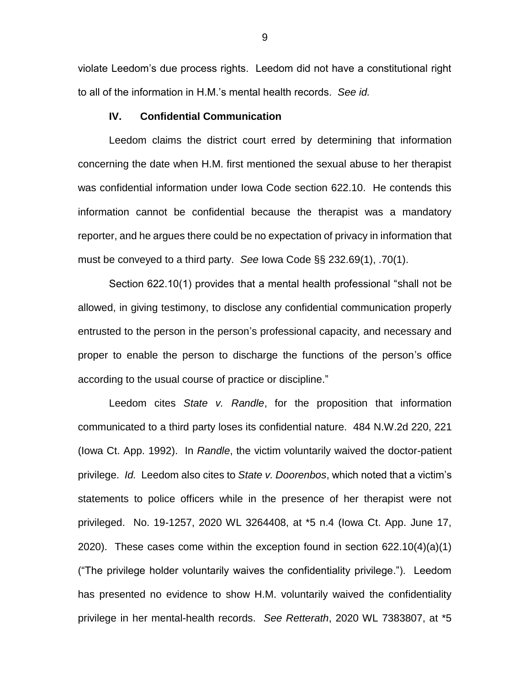violate Leedom's due process rights. Leedom did not have a constitutional right to all of the information in H.M.'s mental health records. *See id.*

## **IV. Confidential Communication**

Leedom claims the district court erred by determining that information concerning the date when H.M. first mentioned the sexual abuse to her therapist was confidential information under Iowa Code section 622.10. He contends this information cannot be confidential because the therapist was a mandatory reporter, and he argues there could be no expectation of privacy in information that must be conveyed to a third party. *See* Iowa Code §§ 232.69(1), .70(1).

Section 622.10(1) provides that a mental health professional "shall not be allowed, in giving testimony, to disclose any confidential communication properly entrusted to the person in the person's professional capacity, and necessary and proper to enable the person to discharge the functions of the person's office according to the usual course of practice or discipline."

Leedom cites *State v. Randle*, for the proposition that information communicated to a third party loses its confidential nature. 484 N.W.2d 220, 221 (Iowa Ct. App. 1992). In *Randle*, the victim voluntarily waived the doctor-patient privilege. *Id.* Leedom also cites to *State v. Doorenbos*, which noted that a victim's statements to police officers while in the presence of her therapist were not privileged. No. 19-1257, 2020 WL 3264408, at \*5 n.4 (Iowa Ct. App. June 17, 2020). These cases come within the exception found in section 622.10(4)(a)(1) ("The privilege holder voluntarily waives the confidentiality privilege."). Leedom has presented no evidence to show H.M. voluntarily waived the confidentiality privilege in her mental-health records. *See Retterath*, 2020 WL 7383807, at \*5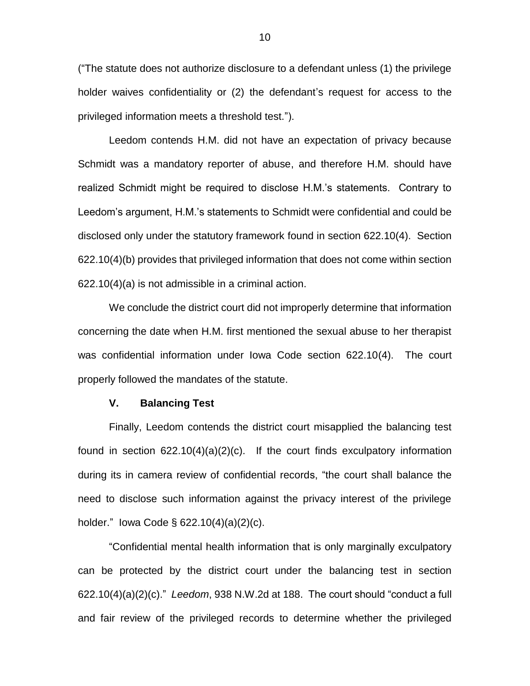("The statute does not authorize disclosure to a defendant unless (1) the privilege holder waives confidentiality or (2) the defendant's request for access to the privileged information meets a threshold test.").

Leedom contends H.M. did not have an expectation of privacy because Schmidt was a mandatory reporter of abuse, and therefore H.M. should have realized Schmidt might be required to disclose H.M.'s statements. Contrary to Leedom's argument, H.M.'s statements to Schmidt were confidential and could be disclosed only under the statutory framework found in section 622.10(4). Section 622.10(4)(b) provides that privileged information that does not come within section 622.10(4)(a) is not admissible in a criminal action.

We conclude the district court did not improperly determine that information concerning the date when H.M. first mentioned the sexual abuse to her therapist was confidential information under Iowa Code section 622.10(4). The court properly followed the mandates of the statute.

#### **V. Balancing Test**

Finally, Leedom contends the district court misapplied the balancing test found in section 622.10(4)(a)(2)(c). If the court finds exculpatory information during its in camera review of confidential records, "the court shall balance the need to disclose such information against the privacy interest of the privilege holder." Iowa Code § 622.10(4)(a)(2)(c).

"Confidential mental health information that is only marginally exculpatory can be protected by the district court under the balancing test in section 622.10(4)(a)(2)(c)." *Leedom*, 938 N.W.2d at 188. The court should "conduct a full and fair review of the privileged records to determine whether the privileged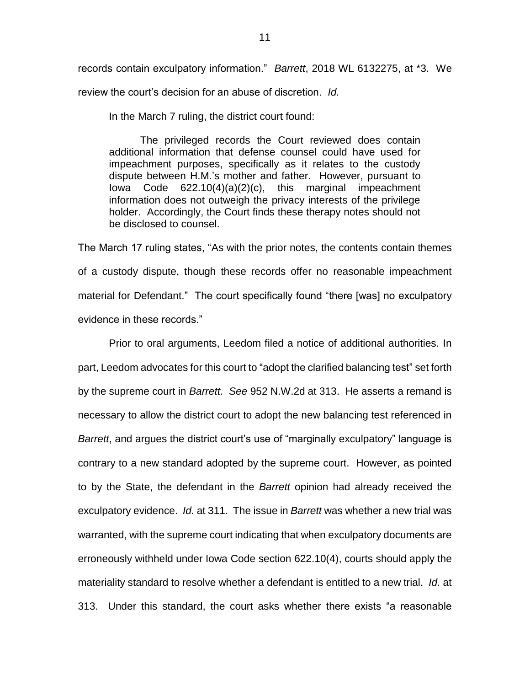records contain exculpatory information." *Barrett*, 2018 WL 6132275, at \*3. We review the court's decision for an abuse of discretion. *Id.*

In the March 7 ruling, the district court found:

The privileged records the Court reviewed does contain additional information that defense counsel could have used for impeachment purposes, specifically as it relates to the custody dispute between H.M.'s mother and father. However, pursuant to Iowa Code 622.10(4)(a)(2)(c), this marginal impeachment information does not outweigh the privacy interests of the privilege holder. Accordingly, the Court finds these therapy notes should not be disclosed to counsel.

The March 17 ruling states, "As with the prior notes, the contents contain themes of a custody dispute, though these records offer no reasonable impeachment material for Defendant." The court specifically found "there [was] no exculpatory evidence in these records."

Prior to oral arguments, Leedom filed a notice of additional authorities. In part, Leedom advocates for this court to "adopt the clarified balancing test" set forth by the supreme court in *Barrett. See* 952 N.W.2d at 313. He asserts a remand is necessary to allow the district court to adopt the new balancing test referenced in *Barrett*, and argues the district court's use of "marginally exculpatory" language is contrary to a new standard adopted by the supreme court. However, as pointed to by the State, the defendant in the *Barrett* opinion had already received the exculpatory evidence. *Id.* at 311. The issue in *Barrett* was whether a new trial was warranted, with the supreme court indicating that when exculpatory documents are erroneously withheld under Iowa Code section 622.10(4), courts should apply the materiality standard to resolve whether a defendant is entitled to a new trial. *Id.* at 313. Under this standard, the court asks whether there exists "a reasonable